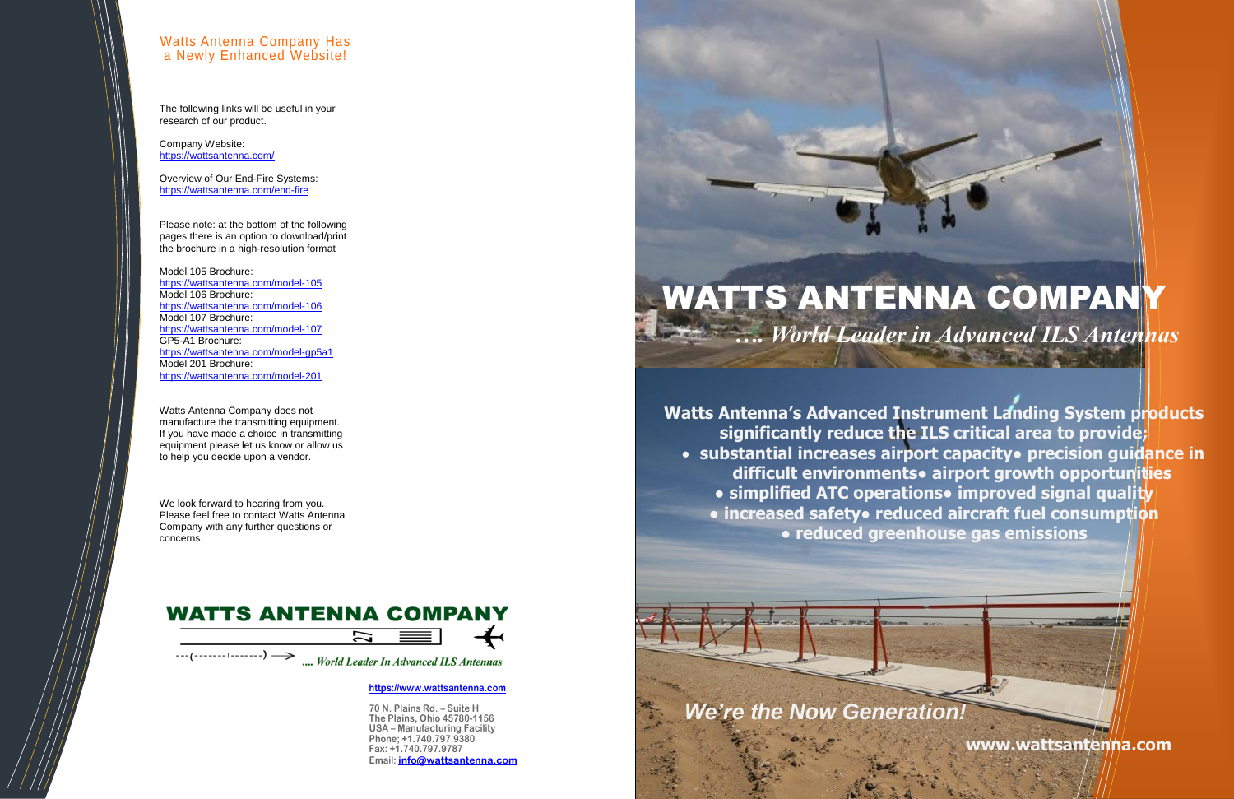**[https://www.wattsantenna.com](https://www.wattsantenna.com/)**

**70 N. Plains Rd. – Suite H The Plains, Ohio 45780-1156 USA – Manufacturing Facility Phone; +1.740.797.9380 Fax: +1.740.797.9787 Email: [info@wattsantenna.com](mailto:info@wattsantenna.com)** *We're the Now Generation!*

**Watts Antenna's Advanced Instrument Landing System products significantly reduce the ILS critical area to provide;** • **substantial increases airport capacity● precision guidance in difficult environments● airport growth opportunities** ● simplified ATC operations● improved signal quality **● increased safety● reduced aircraft fuel consumption ● reduced greenhouse gas emissions**

# WATTS ANTENNA COMPANY *…. World Leader in Advanced ILS Antennas*

**www.wattsantenna.com**

#### Watts Antenna Company Has a Newly Enhanced Website!

The following links will be useful in your research of our product.

Company Website: <https://wattsantenna.com/>

Overview of Our End-Fire Systems: <https://wattsantenna.com/end-fire>

Please note: at the bottom of the following pages there is an option to download/print the brochure in a high-resolution format

Model 105 Brochure: <https://wattsantenna.com/model-105> Model 106 Brochure: <https://wattsantenna.com/model-106> Model 107 Brochure: <https://wattsantenna.com/model-107> GP5-A1 Brochure: <https://wattsantenna.com/model-gp5a1> Model 201 Brochure: <https://wattsantenna.com/model-201>

Watts Antenna Company does not manufacture the transmitting equipment. If you have made a choice in transmitting equipment please let us know or allow us to help you decide upon a vendor.

We look forward to hearing from you. Please feel free to contact Watts Antenna Company with any further questions or concerns.

### **WATTS ANTENNA COMPANY**